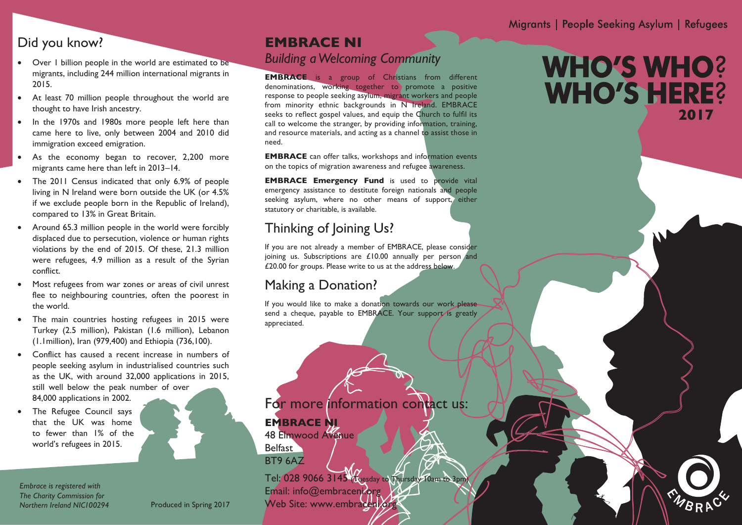### Did you know?

- Over 1 billion people in the world are estimated to be migrants, including 244 million international migrants in 2015.
- At least 70 million people throughout the world are thought to have Irish ancestry.
- In the 1970s and 1980s more people left here than came here to live, only between 2004 and 2010 did immigration exceed emigration.
- As the economy began to recover, 2,200 more migrants came here than left in 2013–14.
- The 2011 Census indicated that only 6.9% of people living in N Ireland were born outside the UK (or 4.5% if we exclude people born in the Republic of Ireland), compared to 13% in Great Britain.
- Around 65.3 million people in the world were forcibly displaced due to persecution, violence or human rights violations by the end of 2015. Of these, 21.3 million were refugees, 4.9 million as a result of the Syrian conflict.
- Most refugees from war zones or areas of civil unrest flee to neighbouring countries, often the poorest in the world.
- The main countries hosting refugees in 2015 were Turkey (2.5 million), Pakistan (1.6 million), Lebanon (1.1million), Iran (979,400) and Ethiopia (736,100).
- Conflict has caused a recent increase in numbers of people seeking asylum in industrialised countries such as the UK, with around 32,000 applications in 2015, still well below the peak number of over 84,000 applications in 2002.

Produced in Spring 2017

The Refugee Council says that the UK was home to fewer than 1% of the world's refugees in 2015.

*Embrace is registered with The Charity Commission for Northern Ireland NIC100294*

### **EMBRACE NI** *Building a Welcoming Community*

**EMBRACE** is a group of Christians from different denominations, working together to promote a positive response to people seeking asylum, migrant workers and people from minority ethnic backgrounds in N Ireland. EMBRACE seeks to reflect gospel values, and equip the Church to fulfil its call to welcome the stranger, by providing information, training, and resource materials, and acting as a channel to assist those in need.

**EMBRACE** can offer talks, workshops and information events on the topics of migration awareness and refugee awareness.

**EMBRACE Emergency Fund** is used to provide vital emergency assistance to destitute foreign nationals and people seeking asylum, where no other means of support, either statutory or charitable, is available.

# Thinking of Joining Us?

If you are not already a member of EMBRACE, please consider joining us. Subscriptions are £10.00 annually per person and £20.00 for groups. Please write to us at the address below.

# Making a Donation?

If you would like to make a donation towards our work please send a cheque, payable to EMBRACE. Your support is greatly appreciated.

# For more information contact us:

**EMBRACE NI** 48 Elmwood Avenue

**Belfast** BT9 6AZ

Tel: 028 9066 3145 Tuesday to Thursday 10am to 3pm Email: info@embraceni.org Web Site: www.embraceni.org

# **WHO'S WHO? WHO'S HERE? 2017**